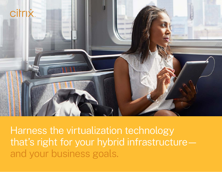

Harness the virtualization technology that's right for your hybrid infrastructure and your business goals.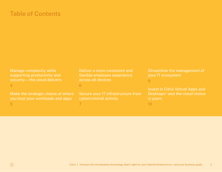# Table of Contents

[Manage complexity while](#page-3-0)  [supporting productivity and](#page-3-0)  [security—the cloud delivers](#page-3-0) [4](#page-3-0)

[Make the strategic choice of where](#page-4-0)  [you host your workloads and apps](#page-4-0) [5](#page-4-0)

[Deliver a more consistent and](#page-5-0)  [flexible employee experience](#page-5-0)  [across all devices](#page-5-0)

[6](#page-5-0)

[7](#page-6-0)

[Secure your IT infrastructure from](#page-6-0)  [cybercriminal activity](#page-6-0)

[Streamline the management of](#page-8-0)  [your IT ecosystem](#page-8-0) [9](#page-8-0)

[Invest in Citrix Virtual Apps and](#page-9-0)  Desktops<sup>™</sup> and the cloud choice [is yours](#page-9-0)

[10](#page-9-0)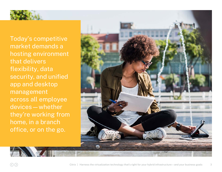

Today's competitive market demands a hosting environment that delivers flexibility, data security, and unified app and desktop management across all employee devices—whether they're working from home, in a branch office, or on the go.

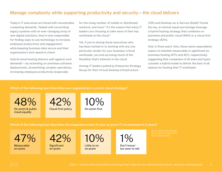## <span id="page-3-0"></span>Manage complexity while supporting productivity and security—the cloud delivers

Today's IT executives are faced with innumerable competing demands. Tasked with reconciling legacy systems with an ever-changing array of new digital solutions, they're also responsible for finding ways to use technology to increase employee productivity and engagement, while keeping business data secure and their organization's tech spend in check.

Hybrid cloud hosting delivers well against such demands1 —by extending on-premises software deployments, streamlining complex operations, increasing employee productivity (especially

for the rising number of mobile or distributed workers), and more.<sup>2</sup> It's the reason that many IT leaders are choosing to take more of their key workloads to the cloud.3

Yet, if you're among those executives who has been locked-in to working with any one particular vendor for your business-critical workloads, you end up losing much of the flexibility that's inherent in the cloud.

Among IT leaders polled by Enterprise Strategy Group for their Virtual Desktop Infrastructure

(VDI) and Desktop-as-a-Service (DaaS) Trends Survey, an almost-equal percentage leverage a hybrid hosting strategy that combines onpremises and public cloud (48%) or a cloud-first strategy (42%).

And, in three years' time, those same respondents expect to maintain measurable or significant onpremises hosting (47% and 42%, respectively), suggesting that companies of all sizes and types consider a hybrid model to deliver the best of all options for hosting their IT workloads.

**Which of the following best describes your organization's current cloud strategy?**

48% On-prem & public cloud equally





**Which of the following best describes the expected extent of your on-prem IT environment in 3 years?**

47%

Measurable on-prem



**Significant** on-prem

10%

Little to no on-prem

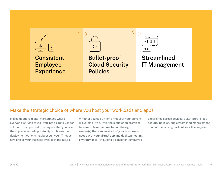<span id="page-4-0"></span>

## Make the strategic choice of where you host your workloads and apps

In a competitive digital marketplace where everyone is trying to lock you into a single-vendor solution, it's important to recognize that you have the unprecedented opportunity to choose the deployment options that best suit your IT needs now and as your business evolves in the future.

Whether you use a hybrid model or your current IT systems live fully in the cloud or on premises, **be sure to take the time to find the right vendor(s) that can meet all of your business's needs with your virtual app and desktop hosting environments**—including a consistent employee

experience across devices, bullet-proof cloud security policies, and streamlined management of all of the moving parts of your IT ecosystem.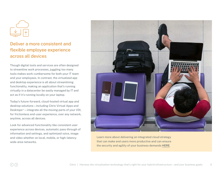<span id="page-5-0"></span>

## Deliver a more consistent and flexible employee experience across all devices

Though digital tools and services are often designed to streamline work processes, juggling too many tools makes work cumbersome for both your IT team and your employees. In contrast, the virtualized app and desktop experience is all about streamlining functionality, making an application that's running virtually in a datacenter be easily managed by IT and act as if it's running locally on your laptop.

Today's future-forward, cloud-hosted virtual app and desktop solutions—including Citrix Virtual Apps and Desktops™—integrate all the moving parts of your VDI, for frictionless end-user experience, over any network, anytime, across all devices.

Look for advanced functionality like consistent user experience across devices, automatic pass-through of information and settings, and optimized voice, image and video whether on local, mobile, or high-latency wide-area networks.



Learn more about delivering an integrated cloud strategy that can make end users more productive and can ensure the security and agility of your business demands **[HERE](https://www.citrix.com/content/dam/citrix/en_us/documents/ebook/deliver-a-cloud-strategy-that-works-for-your-business-and-your-workforce.pdf)**.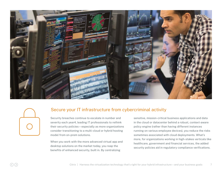<span id="page-6-0"></span>

## Secure your IT infrastructure from cybercriminal activity

Security breaches continue to escalate in number and severity each year4, leading IT professionals to rethink their security policies—especially as more organizations consider transitioning to a multi-cloud or hybrid hosting model from on-prem solutions.

When you work with the more advanced virtual app and desktop solutions on the market today, you reap the benefits of enhanced security, built in. By centralizing

sensitive, mission-critical business applications and data in the cloud or datacenter behind a robust, context-aware policy engine (rather than having different instances running on various employee devices), you reduce the risks sometimes associated with cloud deployments. What's more, for organizations working in high-stakes verticals like healthcare, government and financial services, the added security policies aid in regulatory compliance verifications.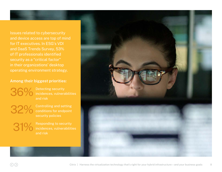Issues related to cybersecurity and device access are top of mind for IT executives. In ESG's VDI and DaaS Trends Survey, 53% of IT professionals identified security as a "critical factor" in their organizations' desktop operating environment strategy.

### **Among their biggest priorities:**

36%

Detecting security incidences, vulnerabilities and risk

32%

31%

Controlling and setting conditions for endpoint security policies

Responding to security incidences, vulnerabilities and risk

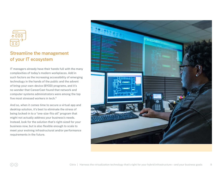<span id="page-8-0"></span>

## Streamline the management of your IT ecosystem

IT managers already have their hands full with the many complexities of today's modern workplaces. Add in such factors as the increasing accessibility of emerging technology in the hands of the public and the advent of bring-your-own-device (BYOD) programs, and it's no wonder that CareerCast found that network and computer systems administrators were among the top five most stressed workers in tech. 5

And so, when it comes time to secure a virtual app and desktop solution, it's best to eliminate the stress of being locked-in to a "one-size-fits-all" program that might not actually address your business's needs. Instead, look for the solution that's right-sized for your business now, but is also flexible enough to scale to meet your evolving infrastructural and/or performance requirements in the future.

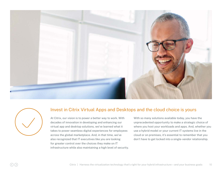<span id="page-9-0"></span>

### Invest in Citrix Virtual Apps and Desktops and the cloud choice is yours

At Citrix, our vision is to power a better way to work. With decades of innovation in developing and enhancing our virtual app and desktop solutions, we've learned what it takes to power seamless digital experiences for employees across the global marketplace. And, in that time, we've also recognized that IT executives like you are looking for greater control over the choices they make on IT infrastructure while also maintaining a high level of security. With so many solutions available today, you have the unprecedented opportunity to make a strategic choice of where you host your workloads and apps. And, whether you use a hybrid model or your current IT systems live in the cloud or on premises, it's essential to remember that you don't have to get locked into a single-vendor relationship.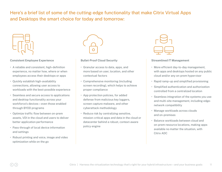Here's a brief list of some of the cutting-edge functionality that make Citrix Virtual Apps and Desktops the smart choice for today and tomorrow:



### **Consistent Employee Experience**

- A reliable and consistent, high-definition experience, no matter how, where or when employees access their desktops or apps
- Quickly establish high-availability connections, allowing user access to workloads with the best-possible experience
- Seamless and secure access to applications and desktop functionality across your workforce's devices—even those enabled through BYOD programs
- Optimize traffic flow between on-prem assets, VDI in the cloud and users to deliver better application performance
- Pass-through of local device information and settings
- Robust printing and voice, image and video optimization while on the go



#### **Bullet-Proof Cloud Security**

- Granular access to data, apps, and more based on user, location, and other contextual factors
- Comprehensive monitoring (including screen recording), which helps to achieve proper compliance
- App protection policies, for added defense from malicious key loggers, screen capture malware, and other cyberattack methodology
- Reduce risk by centralizing sensitive, mission-critical apps and data in the cloud or datacenter behind a robust, context-aware policy engine



#### **Streamlined IT Management**

- More efficient day-to-day management, with apps and desktops hosted on any public cloud and/or any on-prem hypervisor
- Rapid ramp-up and simplified provisioning
- Simplified authentication and authorization controlled from a centralized location
- Seamless integration of the systems you use and multi-site management, including edgenetwork compatibility
- Manage workloads across clouds and on-premises
- Balance workloads between cloud and on-prem resource locations, making apps available no matter the situation, with Citrix ADC